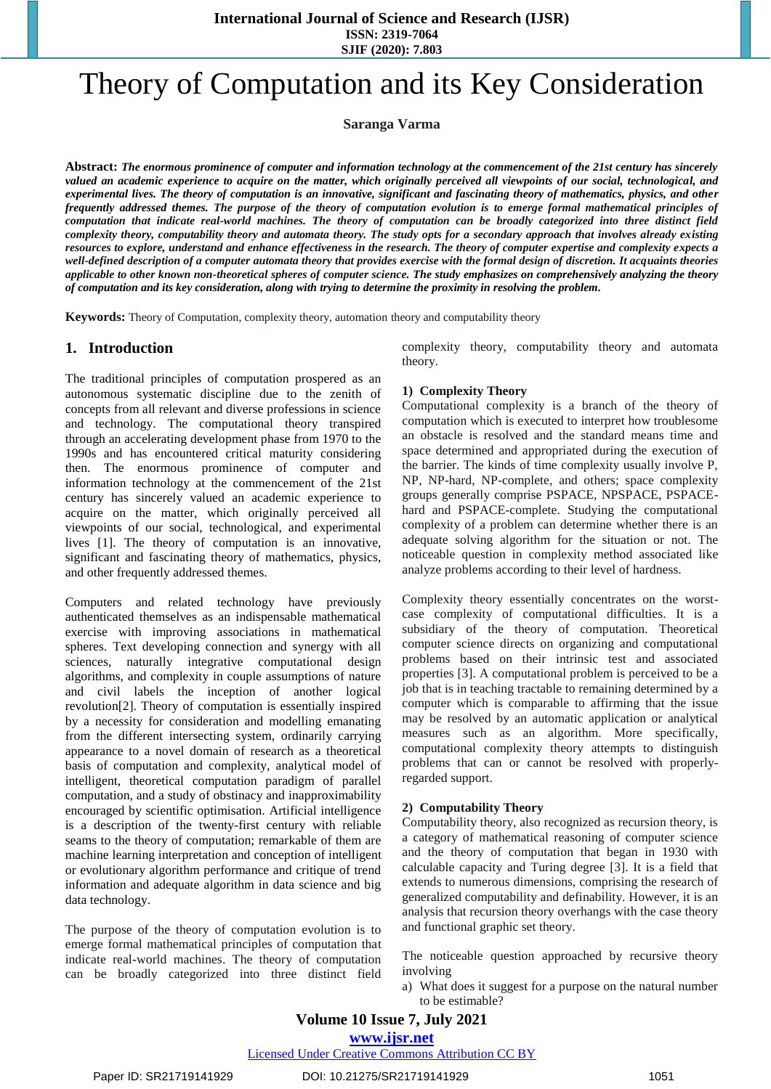**SJIF (2020): 7.803**

# Theory of Computation and its Key Consideration

**Saranga Varma**

**Abstract:** *The enormous prominence of computer and information technology at the commencement of the 21st century has sincerely valued an academic experience to acquire on the matter, which originally perceived all viewpoints of our social, technological, and experimental lives. The theory of computation is an innovative, significant and fascinating theory of mathematics, physics, and other frequently addressed themes. The purpose of the theory of computation evolution is to emerge formal mathematical principles of computation that indicate real-world machines. The theory of computation can be broadly categorized into three distinct field complexity theory, computability theory and automata theory. The study opts for a secondary approach that involves already existing resources to explore, understand and enhance effectiveness in the research. The theory of computer expertise and complexity expects a well-defined description of a computer automata theory that provides exercise with the formal design of discretion. It acquaints theories applicable to other known non-theoretical spheres of computer science. The study emphasizes on comprehensively analyzing the theory of computation and its key consideration, along with trying to determine the proximity in resolving the problem.*

**Keywords:** Theory of Computation, complexity theory, automation theory and computability theory

# **1. Introduction**

The traditional principles of computation prospered as an autonomous systematic discipline due to the zenith of concepts from all relevant and diverse professions in science and technology. The computational theory transpired through an accelerating development phase from 1970 to the 1990s and has encountered critical maturity considering then. The enormous prominence of computer and information technology at the commencement of the 21st century has sincerely valued an academic experience to acquire on the matter, which originally perceived all viewpoints of our social, technological, and experimental lives [1]. The theory of computation is an innovative, significant and fascinating theory of mathematics, physics, and other frequently addressed themes.

Computers and related technology have previously authenticated themselves as an indispensable mathematical exercise with improving associations in mathematical spheres. Text developing connection and synergy with all sciences, naturally integrative computational design algorithms, and complexity in couple assumptions of nature and civil labels the inception of another logical revolution[2]. Theory of computation is essentially inspired by a necessity for consideration and modelling emanating from the different intersecting system, ordinarily carrying appearance to a novel domain of research as a theoretical basis of computation and complexity, analytical model of intelligent, theoretical computation paradigm of parallel computation, and a study of obstinacy and inapproximability encouraged by scientific optimisation. Artificial intelligence is a description of the twenty-first century with reliable seams to the theory of computation; remarkable of them are machine learning interpretation and conception of intelligent or evolutionary algorithm performance and critique of trend information and adequate algorithm in data science and big data technology.

The purpose of the theory of computation evolution is to emerge formal mathematical principles of computation that indicate real-world machines. The theory of computation can be broadly categorized into three distinct field

complexity theory, computability theory and automata theory.

## **1) Complexity Theory**

Computational complexity is a branch of the theory of computation which is executed to interpret how troublesome an obstacle is resolved and the standard means time and space determined and appropriated during the execution of the barrier. The kinds of time complexity usually involve P, NP, NP-hard, NP-complete, and others; space complexity groups generally comprise PSPACE, NPSPACE, PSPACEhard and PSPACE-complete. Studying the computational complexity of a problem can determine whether there is an adequate solving algorithm for the situation or not. The noticeable question in complexity method associated like analyze problems according to their level of hardness.

Complexity theory essentially concentrates on the worstcase complexity of computational difficulties. It is a subsidiary of the theory of computation. Theoretical computer science directs on organizing and computational problems based on their intrinsic test and associated properties [3]. A computational problem is perceived to be a job that is in teaching tractable to remaining determined by a computer which is comparable to affirming that the issue may be resolved by an automatic application or analytical measures such as an algorithm. More specifically, computational complexity theory attempts to distinguish problems that can or cannot be resolved with properlyregarded support.

## **2) Computability Theory**

Computability theory, also recognized as recursion theory, is a category of mathematical reasoning of computer science and the theory of computation that began in 1930 with calculable capacity and Turing degree [3]. It is a field that extends to numerous dimensions, comprising the research of generalized computability and definability. However, it is an analysis that recursion theory overhangs with the case theory and functional graphic set theory.

The noticeable question approached by recursive theory involving

a) What does it suggest for a purpose on the natural number to be estimable?

Licensed Under Creative Commons Attribution CC BY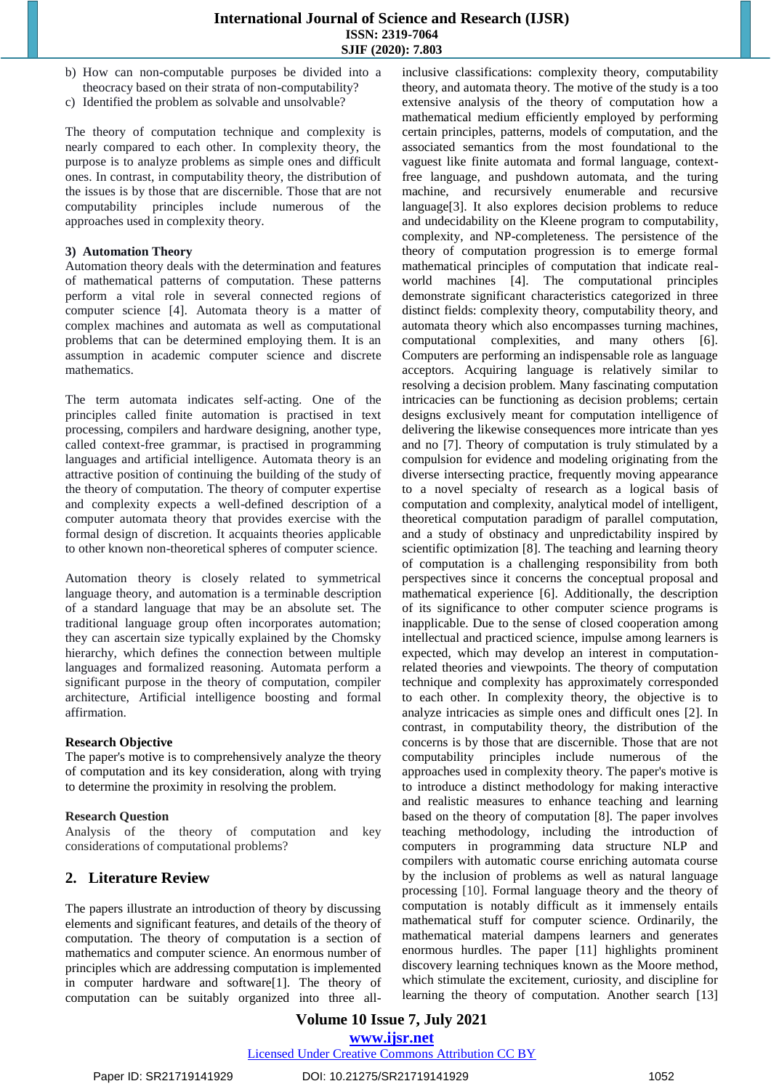- b) How can non-computable purposes be divided into a theocracy based on their strata of non-computability?
- c) Identified the problem as solvable and unsolvable?

The theory of computation technique and complexity is nearly compared to each other. In complexity theory, the purpose is to analyze problems as simple ones and difficult ones. In contrast, in computability theory, the distribution of the issues is by those that are discernible. Those that are not computability principles include numerous of the approaches used in complexity theory.

#### **3) Automation Theory**

Automation theory deals with the determination and features of mathematical patterns of computation. These patterns perform a vital role in several connected regions of computer science [4]. Automata theory is a matter of complex machines and automata as well as computational problems that can be determined employing them. It is an assumption in academic computer science and discrete mathematics.

The term automata indicates self-acting. One of the principles called finite automation is practised in text processing, compilers and hardware designing, another type, called context-free grammar, is practised in programming languages and artificial intelligence. Automata theory is an attractive position of continuing the building of the study of the theory of computation. The theory of computer expertise and complexity expects a well-defined description of a computer automata theory that provides exercise with the formal design of discretion. It acquaints theories applicable to other known non-theoretical spheres of computer science.

Automation theory is closely related to symmetrical language theory, and automation is a terminable description of a standard language that may be an absolute set. The traditional language group often incorporates automation; they can ascertain size typically explained by the Chomsky hierarchy, which defines the connection between multiple languages and formalized reasoning. Automata perform a significant purpose in the theory of computation, compiler architecture, Artificial intelligence boosting and formal affirmation.

## **Research Objective**

The paper's motive is to comprehensively analyze the theory of computation and its key consideration, along with trying to determine the proximity in resolving the problem.

## **Research Question**

Analysis of the theory of computation and key considerations of computational problems?

## **2. Literature Review**

The papers illustrate an introduction of theory by discussing elements and significant features, and details of the theory of computation. The theory of computation is a section of mathematics and computer science. An enormous number of principles which are addressing computation is implemented in computer hardware and software[1]. The theory of computation can be suitably organized into three allinclusive classifications: complexity theory, computability theory, and automata theory. The motive of the study is a too extensive analysis of the theory of computation how a mathematical medium efficiently employed by performing certain principles, patterns, models of computation, and the associated semantics from the most foundational to the vaguest like finite automata and formal language, contextfree language, and pushdown automata, and the turing machine, and recursively enumerable and recursive language[3]. It also explores decision problems to reduce and undecidability on the Kleene program to computability, complexity, and NP-completeness. The persistence of the theory of computation progression is to emerge formal mathematical principles of computation that indicate realworld machines [4]. The computational principles demonstrate significant characteristics categorized in three distinct fields: complexity theory, computability theory, and automata theory which also encompasses turning machines, computational complexities, and many others [6]. Computers are performing an indispensable role as language acceptors. Acquiring language is relatively similar to resolving a decision problem. Many fascinating computation intricacies can be functioning as decision problems; certain designs exclusively meant for computation intelligence of delivering the likewise consequences more intricate than yes and no [7]. Theory of computation is truly stimulated by a compulsion for evidence and modeling originating from the diverse intersecting practice, frequently moving appearance to a novel specialty of research as a logical basis of computation and complexity, analytical model of intelligent, theoretical computation paradigm of parallel computation, and a study of obstinacy and unpredictability inspired by scientific optimization [8]. The teaching and learning theory of computation is a challenging responsibility from both perspectives since it concerns the conceptual proposal and mathematical experience [6]. Additionally, the description of its significance to other computer science programs is inapplicable. Due to the sense of closed cooperation among intellectual and practiced science, impulse among learners is expected, which may develop an interest in computationrelated theories and viewpoints. The theory of computation technique and complexity has approximately corresponded to each other. In complexity theory, the objective is to analyze intricacies as simple ones and difficult ones [2]. In contrast, in computability theory, the distribution of the concerns is by those that are discernible. Those that are not computability principles include numerous of the approaches used in complexity theory. The paper's motive is to introduce a distinct methodology for making interactive and realistic measures to enhance teaching and learning based on the theory of computation [8]. The paper involves teaching methodology, including the introduction of computers in programming data structure NLP and compilers with automatic course enriching automata course by the inclusion of problems as well as natural language processing [10]. Formal language theory and the theory of computation is notably difficult as it immensely entails mathematical stuff for computer science. Ordinarily, the mathematical material dampens learners and generates enormous hurdles. The paper [11] highlights prominent discovery learning techniques known as the Moore method, which stimulate the excitement, curiosity, and discipline for learning the theory of computation. Another search [13]

**Volume 10 Issue 7, July 2021 www.ijsr.net**

Licensed Under Creative Commons Attribution CC BY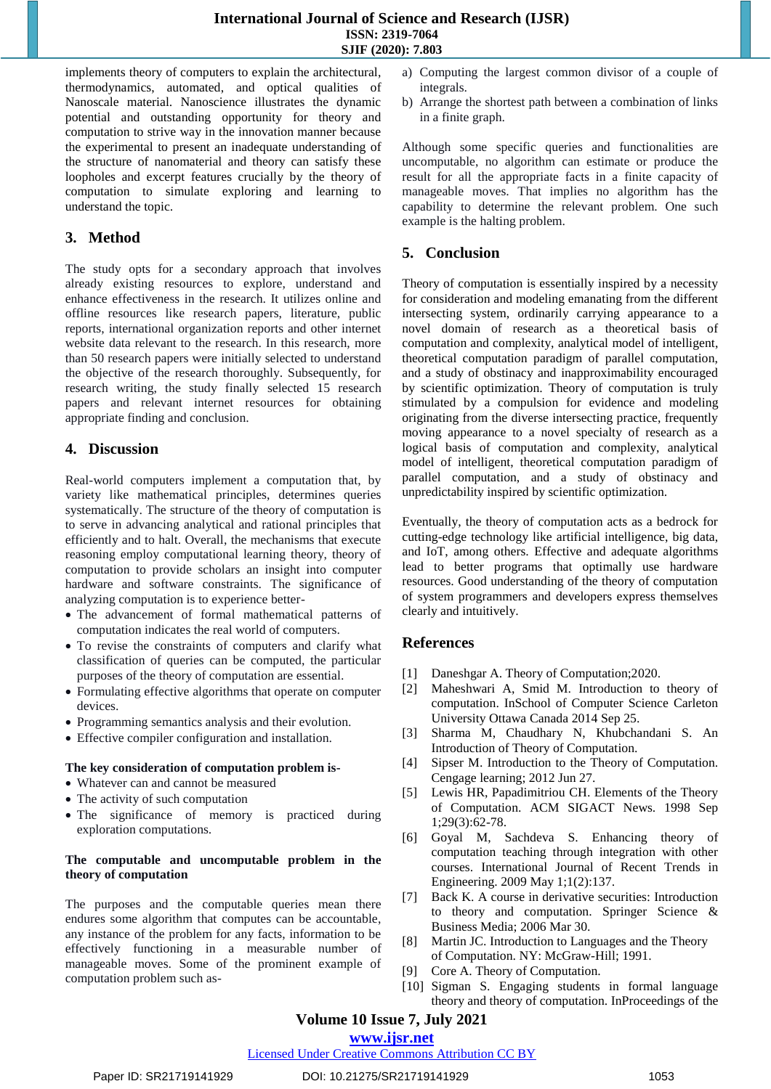implements theory of computers to explain the architectural, thermodynamics, automated, and optical qualities of Nanoscale material. Nanoscience illustrates the dynamic potential and outstanding opportunity for theory and computation to strive way in the innovation manner because the experimental to present an inadequate understanding of the structure of nanomaterial and theory can satisfy these loopholes and excerpt features crucially by the theory of computation to simulate exploring and learning to understand the topic.

# **3. Method**

The study opts for a secondary approach that involves already existing resources to explore, understand and enhance effectiveness in the research. It utilizes online and offline resources like research papers, literature, public reports, international organization reports and other internet website data relevant to the research. In this research, more than 50 research papers were initially selected to understand the objective of the research thoroughly. Subsequently, for research writing, the study finally selected 15 research papers and relevant internet resources for obtaining appropriate finding and conclusion.

## **4. Discussion**

Real-world computers implement a computation that, by variety like mathematical principles, determines queries systematically. The structure of the theory of computation is to serve in advancing analytical and rational principles that efficiently and to halt. Overall, the mechanisms that execute reasoning employ computational learning theory, theory of computation to provide scholars an insight into computer hardware and software constraints. The significance of analyzing computation is to experience better-

- The advancement of formal mathematical patterns of computation indicates the real world of computers.
- To revise the constraints of computers and clarify what classification of queries can be computed, the particular purposes of the theory of computation are essential.
- Formulating effective algorithms that operate on computer devices.
- Programming semantics analysis and their evolution.
- Effective compiler configuration and installation.

## **The key consideration of computation problem is-**

- Whatever can and cannot be measured
- The activity of such computation
- The significance of memory is practiced during exploration computations.

## **The computable and uncomputable problem in the theory of computation**

The purposes and the computable queries mean there endures some algorithm that computes can be accountable, any instance of the problem for any facts, information to be effectively functioning in a measurable number of manageable moves. Some of the prominent example of computation problem such as-

- a) Computing the largest common divisor of a couple of integrals.
- b) Arrange the shortest path between a combination of links in a finite graph.

Although some specific queries and functionalities are uncomputable, no algorithm can estimate or produce the result for all the appropriate facts in a finite capacity of manageable moves. That implies no algorithm has the capability to determine the relevant problem. One such example is the halting problem.

## **5. Conclusion**

Theory of computation is essentially inspired by a necessity for consideration and modeling emanating from the different intersecting system, ordinarily carrying appearance to a novel domain of research as a theoretical basis of computation and complexity, analytical model of intelligent, theoretical computation paradigm of parallel computation, and a study of obstinacy and inapproximability encouraged by scientific optimization. Theory of computation is truly stimulated by a compulsion for evidence and modeling originating from the diverse intersecting practice, frequently moving appearance to a novel specialty of research as a logical basis of computation and complexity, analytical model of intelligent, theoretical computation paradigm of parallel computation, and a study of obstinacy and unpredictability inspired by scientific optimization.

Eventually, the theory of computation acts as a bedrock for cutting-edge technology like artificial intelligence, big data, and IoT, among others. Effective and adequate algorithms lead to better programs that optimally use hardware resources. Good understanding of the theory of computation of system programmers and developers express themselves clearly and intuitively.

## **References**

- [1] Daneshgar A. Theory of Computation;2020.
- [2] Maheshwari A, Smid M. Introduction to theory of computation. InSchool of Computer Science Carleton University Ottawa Canada 2014 Sep 25.
- [3] Sharma M, Chaudhary N, Khubchandani S. An Introduction of Theory of Computation.
- [4] Sipser M. Introduction to the Theory of Computation. Cengage learning; 2012 Jun 27.
- [5] Lewis HR, Papadimitriou CH. Elements of the Theory of Computation. ACM SIGACT News. 1998 Sep 1;29(3):62-78.
- [6] Goyal M, Sachdeva S. Enhancing theory of computation teaching through integration with other courses. International Journal of Recent Trends in Engineering. 2009 May 1;1(2):137.
- [7] Back K. A course in derivative securities: Introduction to theory and computation. Springer Science & Business Media; 2006 Mar 30.
- [8] Martin JC. Introduction to Languages and the Theory of Computation. NY: McGraw-Hill; 1991.
- [9] Core A. Theory of Computation.
- [10] Sigman S. Engaging students in formal language theory and theory of computation. InProceedings of the

# **Volume 10 Issue 7, July 2021**

**www.ijsr.net**

Licensed Under Creative Commons Attribution CC BY